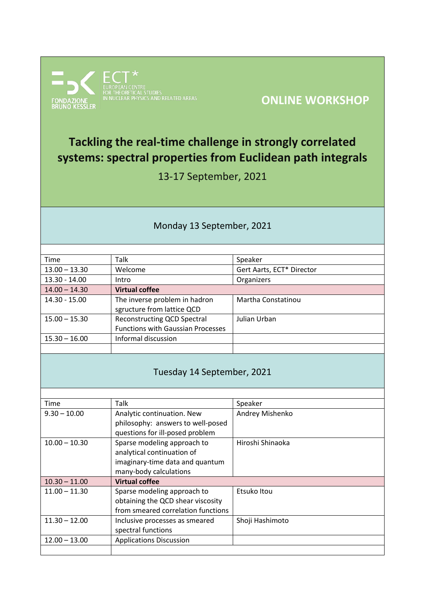

# **ONLINE WORKSHOP**

# **Tackling the real-time challenge in strongly correlated systems: spectral properties from Euclidean path integrals**

13-17 September, 2021

#### Monday 13 September, 2021

| Time            | Talk                                     | Speaker                   |
|-----------------|------------------------------------------|---------------------------|
| $13.00 - 13.30$ | Welcome                                  | Gert Aarts, ECT* Director |
| $13.30 - 14.00$ | Intro                                    | Organizers                |
| $14.00 - 14.30$ | <b>Virtual coffee</b>                    |                           |
| 14.30 - 15.00   | The inverse problem in hadron            | Martha Constatinou        |
|                 | sgructure from lattice QCD               |                           |
| $15.00 - 15.30$ | <b>Reconstructing QCD Spectral</b>       | Julian Urban              |
|                 | <b>Functions with Gaussian Processes</b> |                           |
| $15.30 - 16.00$ | Informal discussion                      |                           |
|                 |                                          |                           |

#### Tuesday 14 September, 2021

| Time            | Talk                               | Speaker          |
|-----------------|------------------------------------|------------------|
| $9.30 - 10.00$  | Analytic continuation. New         | Andrey Mishenko  |
|                 | philosophy: answers to well-posed  |                  |
|                 | questions for ill-posed problem    |                  |
| $10.00 - 10.30$ | Sparse modeling approach to        | Hiroshi Shinaoka |
|                 | analytical continuation of         |                  |
|                 | imaginary-time data and quantum    |                  |
|                 | many-body calculations             |                  |
| $10.30 - 11.00$ | <b>Virtual coffee</b>              |                  |
| $11.00 - 11.30$ | Sparse modeling approach to        | Etsuko Itou      |
|                 | obtaining the QCD shear viscosity  |                  |
|                 | from smeared correlation functions |                  |
| $11.30 - 12.00$ | Inclusive processes as smeared     | Shoji Hashimoto  |
|                 | spectral functions                 |                  |
| $12.00 - 13.00$ | <b>Applications Discussion</b>     |                  |
|                 |                                    |                  |